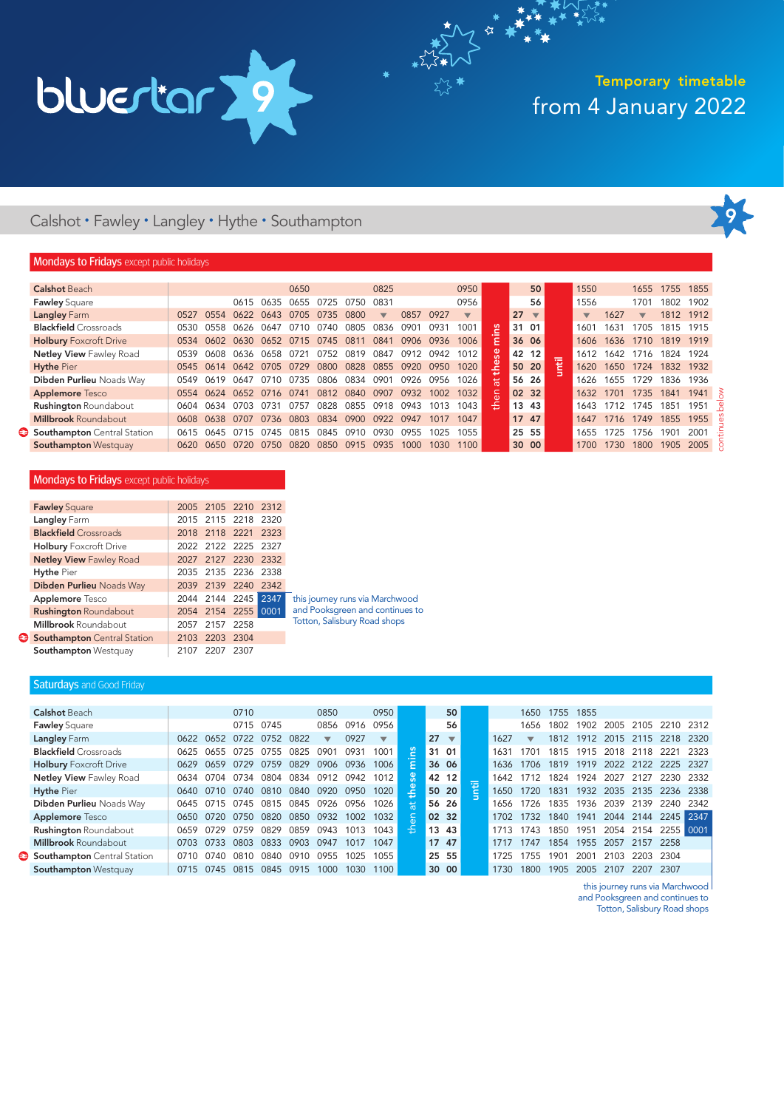

My \*\*

### Calshot • Fawley • Langley • Hythe • Southampton



### **Mondays to Fridays** except public holidays

| 0825<br>0950<br>0956<br>0831<br>0857<br>0927<br>$\overline{\mathbf{v}}$<br>$\overline{\phantom{a}}$ | 50<br>56                       | 1550<br>1556                                                                                    | 1655<br>1701                    | 1755 1855<br>1802                                            |                                                      |
|-----------------------------------------------------------------------------------------------------|--------------------------------|-------------------------------------------------------------------------------------------------|---------------------------------|--------------------------------------------------------------|------------------------------------------------------|
|                                                                                                     |                                |                                                                                                 |                                 |                                                              |                                                      |
|                                                                                                     |                                |                                                                                                 |                                 |                                                              | 1902                                                 |
|                                                                                                     | 27<br>$\overline{\phantom{0}}$ | $\overline{\mathbf{v}}$                                                                         | 1627<br>$\overline{\mathbf{v}}$ | 1812 1912                                                    |                                                      |
| 0836<br>0901<br>0931                                                                                | Ξ<br>31 01                     | 1601                                                                                            | 1631<br>1705                    | 1815                                                         | 1915                                                 |
| 0841<br>0906<br>0936                                                                                | Έ<br>36 06                     | 1606                                                                                            |                                 | 1819 1919                                                    |                                                      |
| 0847<br>0912<br>0942                                                                                | ပ္တ<br>42 12                   | 1612                                                                                            | 1642                            | 1824                                                         | 1924                                                 |
| 0855<br>0920<br>0950                                                                                | 50 20                          | 1620                                                                                            |                                 | 1832                                                         | 1932                                                 |
| 0901<br>0926<br>0956                                                                                | 56 26<br>분                     | 1626                                                                                            | 1729<br>1655                    | 1836                                                         | 1936                                                 |
| 0907<br>0932<br>1002                                                                                | 02 32                          | 1632                                                                                            |                                 | 1841                                                         | 1941                                                 |
| 0918<br>0943<br>1013                                                                                | 혺<br>13 43                     | 1643                                                                                            |                                 | 1851                                                         | 1951                                                 |
| 0922<br>0947<br>1017                                                                                | 17 47                          | 1647                                                                                            |                                 | 1855                                                         | 1955                                                 |
| 0930<br>0955<br>1025                                                                                | 25 55                          | 1655                                                                                            |                                 | 1901                                                         | 2001                                                 |
| 1000<br>0935<br>1030                                                                                | 30 00                          | 1700                                                                                            |                                 | 1905                                                         | 2005                                                 |
|                                                                                                     |                                | 1001<br>1006<br>1012<br>1020<br>곷<br>1026<br>1032<br>$\epsilon$<br>1043<br>1047<br>1055<br>1100 | 뒅                               | 1636<br>1716<br>1650<br>1701<br>1712<br>1716<br>1725<br>1730 | 1710<br>1724<br>1735<br>1745<br>1749<br>1756<br>1800 |

### **Mondays to Fridays** except public holidays

| <b>Fawley Square</b>           |      | 2005 2105 2210 2312 |      |      |   |
|--------------------------------|------|---------------------|------|------|---|
| Langley Farm                   |      | 2015 2115 2218 2320 |      |      |   |
| <b>Blackfield</b> Crossroads   |      | 2018 2118 2221 2323 |      |      |   |
| <b>Holbury</b> Foxcroft Drive  |      | 2022 2122 2225 2327 |      |      |   |
| <b>Netley View Fawley Road</b> |      | 2027 2127 2230 2332 |      |      |   |
| <b>Hythe Pier</b>              |      | 2035 2135 2236 2338 |      |      |   |
| Dibden Purlieu Noads Way       |      | 2039 2139 2240 2342 |      |      |   |
| <b>Applemore</b> Tesco         |      | 2044 2144 2245      |      | 2347 |   |
| <b>Rushington Roundabout</b>   |      | 2054 2154 2255      |      | 0001 | á |
| <b>Millbrook Roundabout</b>    | 2057 | 2157                | 2258 |      |   |
| Southampton Central Station    | 2103 | 2203 2304           |      |      |   |
| <b>Southampton Westquay</b>    | 2107 | 2207                | 2307 |      |   |

this journey runs via Marchwood and Pooksgreen and continues to Totton, Salisbury Road shops

### Saturdays and Good Friday

| <b>Calshot Beach</b>           |      |           | 0710 |             |      | 0850                     |      | 0950 |                  |    | 50                       |   |      | 1650                    | 1755 | 1855 |      |           |           |       |
|--------------------------------|------|-----------|------|-------------|------|--------------------------|------|------|------------------|----|--------------------------|---|------|-------------------------|------|------|------|-----------|-----------|-------|
| <b>Fawley Square</b>           |      |           | 0715 | 0745        |      | 0856                     | 0916 | 0956 |                  |    | 56                       |   |      | 1656                    | 1802 | 1902 | 2005 | 2105      | 2210      | 2312  |
| Langley Farm                   | 0622 | 0652      | 0722 | 0752        | 0822 | $\overline{\phantom{a}}$ | 0927 | ▼    |                  | 27 | $\overline{\phantom{a}}$ |   | 1627 | $\overline{\mathbf{v}}$ | 1812 | 1912 |      | 2015 2115 | 2218      | 2320  |
| <b>Blackfield</b> Crossroads   | 0625 | 0655      | 0725 | 0755        | 0825 | 0901                     | 0931 | 1001 | Ξ                |    | 31 01                    |   | 1631 | 1701                    | 1815 | 1915 | 2018 | 2118      | 2221      | 2323  |
| <b>Holbury Foxcroft Drive</b>  | 0629 | 0659      | 0729 | 0759        | 0829 | 0906                     | 0936 | 1006 | $\cdot$ $-$<br>ε |    | 36 06                    |   | 1636 | 1706                    | 1819 | 1919 |      | 2022 2122 | 2225      | -2327 |
| <b>Netley View Fawley Road</b> | 0634 | 0704      | 0734 | 0804        | 0834 | 0912                     | 0942 | 1012 | ္တစ              |    | 42 12                    |   | 1642 |                         | 1824 | 1924 | 2027 | 2127      | 2230      | 2332  |
| <b>Hythe Pier</b>              | 0640 | 0710      | 0740 | 0810        | 0840 | 0920                     | 0950 | 1020 | 은                |    | 50 20                    | e | 1650 | 1720                    | 1831 | 1932 | 2035 | 2135      | 2236      | 2338  |
| Dibden Purlieu Noads Way       | 0645 | 5.<br>071 | 0745 | 0815        | 0845 | 0926                     | 0956 | 1026 | । ਲ              |    | 56 26                    |   | 1656 | 1726                    | 1835 | 1936 | 2039 | 2139      | 2240      | 2342  |
| <b>Applemore</b> Tesco         | 0650 | 0720      | 0750 | <b>0820</b> | 0850 | 0932                     | 1002 | 1032 | $\frac{1}{6}$    |    | 02 32                    |   | 1702 | 1732                    | 1840 | 1941 | 2044 | 2144      | 2245 2347 |       |
| <b>Rushington Roundabout</b>   | 0659 | 0729      | 0759 | 0829        | 0859 | 0943                     | 1013 | 1043 | 높                |    | 13 43                    |   | 1713 | 1743                    | 1850 | 1951 | 2054 | 2154      | 2255 0001 |       |
| <b>Millbrook Roundabout</b>    | 0703 | 0733      | 0803 | 0833        | 0903 | 0947                     | 1017 | 1047 |                  |    | 17 47                    |   |      | 1747                    | 1854 | 1955 | 2057 | 2157      | 2258      |       |
| Southampton Central Station    | 0710 | 0740      | 0810 | 0840        | 0910 | 0955                     | 1025 | 1055 |                  |    | 25 55                    |   | 1725 | 755                     | 1901 | 2001 | 2103 | 2203      | 2304      |       |
| Southampton Westquay           | 0715 | 0745      | 0815 | 0845        | 0915 | 1000                     | 1030 | 1100 |                  |    | 30 00                    |   | 1730 | 1800                    | 1905 | 2005 | 2107 | 2207      | 2307      |       |
|                                |      |           |      |             |      |                          |      |      |                  |    |                          |   |      |                         |      |      |      |           |           |       |

this journey runs via Marchwood

and Pooksgreen and continues to

Totton, Salisbury Road shops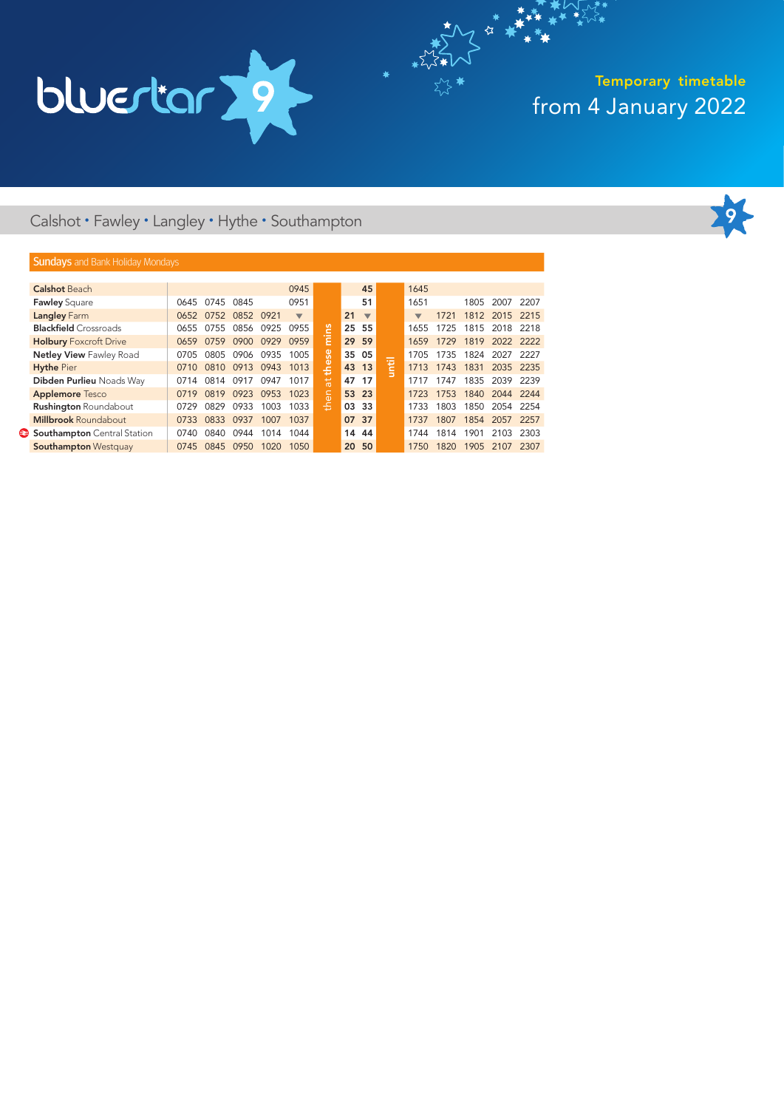

 $x^*$ 

### Calshot • Fawley • Langley • Hythe • Southampton



### **Sundays** and Bank Holiday Mondays

| <b>Calshot Beach</b>           |      |      |           |      | 0945                     |                 |    | 45                       |   | 1645                     |      |      |                |       |
|--------------------------------|------|------|-----------|------|--------------------------|-----------------|----|--------------------------|---|--------------------------|------|------|----------------|-------|
| <b>Fawley Square</b>           | 0645 | 0745 | 0845      |      | 0951                     |                 |    | 51                       |   | 1651                     |      | 1805 | 2007           | 2207  |
| Langley Farm                   | 0652 | 0752 | 0852 0921 |      | $\overline{\phantom{a}}$ |                 | 21 | $\overline{\phantom{a}}$ |   | $\overline{\phantom{a}}$ | 1721 |      | 1812 2015 2215 |       |
| <b>Blackfield</b> Crossroads   | 0655 | 0755 | 0856      | 0925 | 0955                     | ľ۳              | 25 | 55                       |   | 1655                     | 1725 |      | 1815 2018 2218 |       |
| <b>Holbury Foxcroft Drive</b>  | 0659 | 0759 | 0900      | 0929 | 0959                     | $\bar{\ }$<br>Έ |    | 29 59                    |   | 1659                     | 1729 |      | 1819 2022 2222 |       |
| <b>Netley View Fawley Road</b> | 0705 | 0805 | 0906      | 0935 | 1005                     | ္တီ             | 35 | 05                       |   | 1705                     | 1735 | 1824 | 2027           | -2227 |
| <b>Hythe Pier</b>              | 0710 | 0810 | 0913      | 0943 | 1013                     | ŧe              | 43 | 13                       | E | 1713                     | 1743 | 1831 | 2035 2235      |       |
| Dibden Purlieu Noads Way       | 0714 | 0814 | 0917      | 0947 | 1017                     | $\frac{4}{5}$   |    | 47 17                    |   | 1717                     | 1747 | 1835 | 2039 2239      |       |
| <b>Applemore Tesco</b>         | 0719 | 0819 | 0923      | 0953 | 1023                     | le,             |    | 53 23                    |   | 1723                     | 1753 | 1840 | 2044 2244      |       |
| <b>Rushington Roundabout</b>   | 0729 | 0829 | 0933      | 1003 | 1033                     | 홒               | 03 | 33                       |   | 1733                     | 1803 | 1850 | 2054           | 2254  |
| <b>Millbrook Roundabout</b>    | 0733 | 0833 | 0937      | 1007 | 1037                     |                 |    | 07 37                    |   | 1737                     | 1807 | 1854 | 2057 2257      |       |
| Southampton Central Station    | 0740 | 0840 | 0944      | 1014 | 1044                     |                 | 14 | 44                       |   | 1744                     | 1814 | 1901 | 2103           | 2303  |
| <b>Southampton Westquay</b>    | 0745 | 0845 | 0950      | 1020 | 1050                     |                 | 20 | 50                       |   | 1750                     | 1820 | 1905 | 2107           | 2307  |
|                                |      |      |           |      |                          |                 |    |                          |   |                          |      |      |                |       |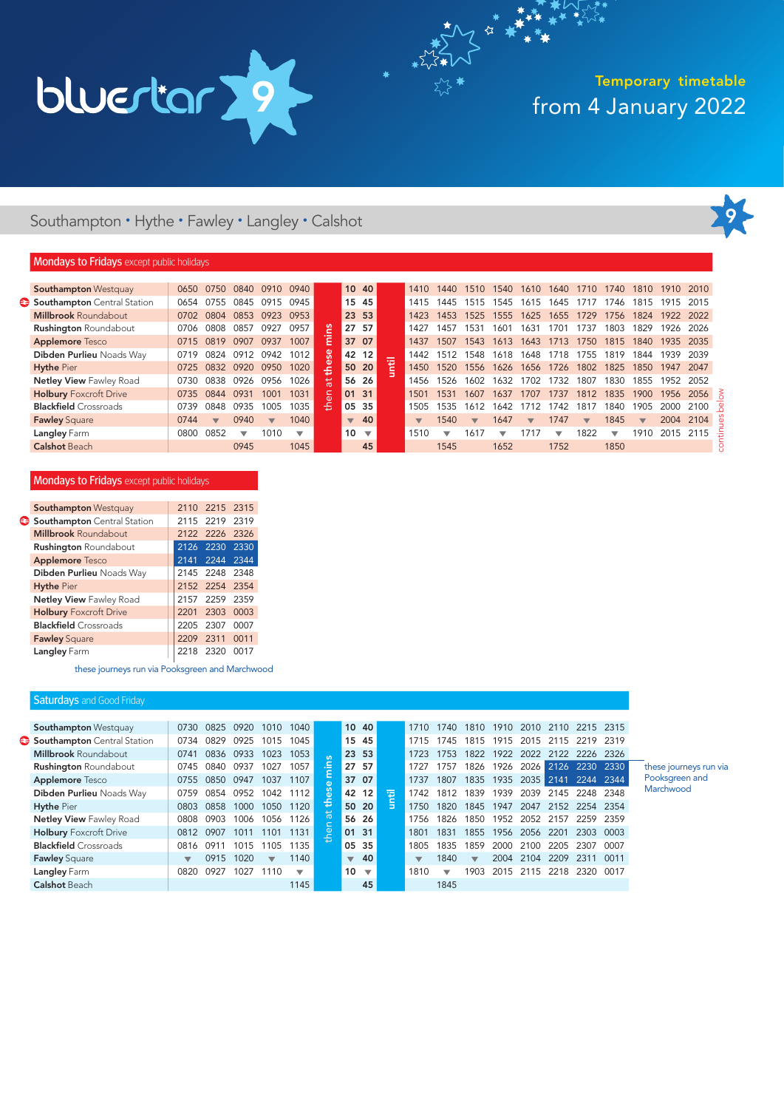

My \*\*

### Southampton • Hythe • Fawley • Langley • Calshot



### **Mondays to Fridays** except public holidays

| 0650 | 0750                    | 0840                     | 0910                    | 0940 |            |                                     |                         |                                                                                  | 1410   | 1440  | 1510                    | 1540 | 1610                    | 1640                     | 1710                    | 1740 | 1810                     |                 |      |      |
|------|-------------------------|--------------------------|-------------------------|------|------------|-------------------------------------|-------------------------|----------------------------------------------------------------------------------|--------|-------|-------------------------|------|-------------------------|--------------------------|-------------------------|------|--------------------------|-----------------|------|------|
| 0654 | 0755                    | 0845                     | 0915                    | 0945 |            |                                     |                         |                                                                                  | 1415   | 1445  | 1515                    | 545  | 1615                    | 1645                     |                         | 1746 | 181                      | 19 <sup>1</sup> | 2015 |      |
| 0702 | 0804                    | 0853                     | 0923                    | 0953 |            |                                     |                         |                                                                                  | 1423   | 1453. | 1525                    | 1555 | 1625                    | 1655                     | 1729                    | 1756 | 1824                     | 1922            | 2022 |      |
| 0706 | 0808                    | 0857                     | 0927                    | 0957 | ႊ          |                                     |                         |                                                                                  | 1427   | 1457  | 1531                    | 160' | 1631                    | 1701                     | 1737                    | 1803 | 1829                     | 1926            | 2026 |      |
| 0715 | 0819                    | 0907                     | 0937                    | 1007 | Ē          |                                     |                         |                                                                                  | 1437   | 1507  | 1543                    | 1613 | 1643                    | 1713                     | 1750                    | 1815 | 1840                     | 1935            | 2035 |      |
| 0719 | 0824                    | 0912                     | 0942                    | 1012 | <b>Se</b>  |                                     |                         |                                                                                  | 1442   | 1512  | 1548                    | 1618 | 1648                    | 1718                     | 1755                    | 1819 | 1844                     | 1939            | 2039 |      |
| 0725 | 0832                    | 0920                     | 0950                    | 1020 |            |                                     |                         |                                                                                  | 1450   | 1520  | 1556                    | 1626 | 1656                    | 1726                     | 1802                    | 1825 | 1850                     | 1947            | 2047 |      |
| 0730 | 0838                    | 0926                     | 0956                    | 1026 | $\ddot{a}$ |                                     | -26                     |                                                                                  | 1456   | 1526  | 1602                    | 1632 | 1702                    | 1732                     | 1807                    | 1830 | 1855                     | 1952            | 2052 |      |
| 0735 | 0844                    | 0931                     | 1001                    | 1031 |            | 01                                  |                         |                                                                                  | 1501   | 1531  | 1607                    | 1637 | 1707                    | 1737                     | 1812                    | 1835 | 1900                     | 1956            | 2056 |      |
| 0739 | 0848                    | 0935                     | 1005                    | 1035 | 옾          |                                     |                         |                                                                                  | 1505   | 1535  | 1612                    | 1642 |                         | 742                      | 18'                     | 1840 | 1905                     | 2000            | 2100 |      |
| 0744 | $\overline{\mathbf{v}}$ | 0940                     | $\overline{\mathbf{v}}$ | 1040 |            | $\overline{\mathbf{v}}$             | 40                      |                                                                                  |        | 1540  | $\overline{\mathbf{v}}$ | 1647 | $\overline{\mathbf{v}}$ | 1747                     | $\overline{\mathbf{v}}$ | 1845 | $\overline{\phantom{a}}$ | 2004            | 2104 |      |
| 0800 | 0852                    | $\overline{\phantom{0}}$ | 1010                    | ▼    |            | 10                                  | $\overline{\mathbf{v}}$ |                                                                                  | 1510   | ┳     | 1617                    | ┳    | 1717                    | $\overline{\phantom{a}}$ | 1822                    | ┳    | 1910                     | 2015            | 2115 |      |
|      |                         | 0945                     |                         | 1045 |            |                                     | 45                      |                                                                                  |        | 1545  |                         | 1652 |                         | 1752                     |                         | 1850 |                          |                 |      |      |
|      |                         |                          |                         |      |            | $\cdot$ $-$<br>the<br>$\frac{1}{6}$ |                         | 10 40<br>15 45<br>23 53<br>27 57<br>37 07<br>42 12<br>50 20<br>56<br>31<br>05 35 | 팁<br>≒ |       |                         |      |                         |                          |                         |      |                          |                 | 1910 | 2010 |

### Mondays to Fridays except public holidays

| <b>Southampton Westquay</b>    |      | 2110 2215 2315 |      |
|--------------------------------|------|----------------|------|
| Southampton Central Station    |      | 2115 2219      | 2319 |
| <b>Millbrook Roundabout</b>    | 2122 | 2226           | 2326 |
| <b>Rushington Roundabout</b>   |      | 2126 2230      | 2330 |
| <b>Applemore Tesco</b>         |      | 2141 2244      | 2344 |
| Dibden Purlieu Noads Way       |      | 2145 2248      | 2348 |
| <b>Hythe Pier</b>              |      | 2152 2254 2354 |      |
| <b>Netley View Fawley Road</b> | 2157 | 2259           | 2359 |
| <b>Holbury Foxcroft Drive</b>  | 2201 | 2303           | 0003 |
| <b>Blackfield</b> Crossroads   | 2205 | 2307           | 0007 |
| <b>Fawley Square</b>           | 2209 | 2311           | 0011 |
| Langley Farm                   | 2218 | 2320           | 0017 |

these journeys run via Pooksgreen and Marchwood

### **Saturdays** and Good Friday

| <b>Southampton Westquay</b>    | 0730 | 0825  | 0920 | 1010                     | 1040                     |                |                          | 10 40                   |   | 1710 | 1740 | 1810                     | 1910 | 2010      | 2110 | 2215 2315           |      |
|--------------------------------|------|-------|------|--------------------------|--------------------------|----------------|--------------------------|-------------------------|---|------|------|--------------------------|------|-----------|------|---------------------|------|
| Southampton Central Station    | 0734 | 0829  | 0925 | 1015                     | 1045                     |                | 15                       | 45                      |   |      | 1745 | 1815                     | 1915 | 2015      | 2115 | 19<br>22            | 2319 |
| <b>Millbrook Roundabout</b>    | 0741 | 0836  | 0933 | 1023                     | 1053                     | $\mathbf{u}$   |                          | 23 53                   |   | 1723 | 1753 | 1822                     | 1922 | 2022      | 2122 | 2226                | 2326 |
| <b>Rushington Roundabout</b>   | 0745 | 0840. | 0937 | 1027                     | 1057                     | 크.             |                          | 27 57                   |   | 1727 | 1757 | 1826                     | 1926 |           |      | 2026 2126 2230 2330 |      |
| <b>Applemore</b> Tesco         | 0755 | 0850  | 0947 | 1037                     | 1107                     | Œ              |                          | 37 07                   |   | 1737 | 1807 | 1835                     | 1935 | 2035 2141 |      | 2244                | 2344 |
| Dibden Purlieu Noads Way       | 0759 | 0854  | 0952 | 1042                     | 1112                     | U)<br>$\omega$ | 42                       | 12                      | 痘 | 1742 | 1812 | 1839                     | 1939 | 2039      | 2145 | 2248                | 2348 |
| <b>Hythe Pier</b>              | 0803 | 0858  | 1000 | 1050                     | 1120                     | ١÷             | 50                       | 20                      | 등 | 1750 | 1820 | 1845                     | 1947 | 2047      | 2152 | 2254 2354           |      |
| <b>Netley View Fawley Road</b> | 0808 | 090.3 | 1006 | 1056                     | 1126                     | <b>i</b>       |                          | 56 26                   |   | 756  | 1826 | 1850                     | 1952 | 2052      | 2157 | 2259                | 2359 |
| <b>Holbury Foxcroft Drive</b>  | 0812 | 0907  | 1011 | 1101                     | 1131                     | le<br>L        | 01                       | 31                      |   | 1801 | 1831 | 1855                     | 1956 | 2056      | 2201 | 2303                | 0003 |
| <b>Blackfield</b> Crossroads   | 0816 | (191) | 1015 | 1105                     | 1135                     |                | 05                       | 35                      |   | 1805 | 1835 | 1859                     | 2000 | 2100      | 2205 | 2307                | 0007 |
| <b>Fawley Square</b>           | ▼    | 0915  | 1020 | $\overline{\phantom{a}}$ | 1140                     |                | $\overline{\phantom{a}}$ | 40                      |   | ▼    | 1840 | $\overline{\phantom{a}}$ | 2004 | 2104      | 2209 | 2311                | 0011 |
| Langley Farm                   | 0820 | 0927  | 1027 | 1110                     | $\overline{\phantom{a}}$ |                | 10                       | $\overline{\mathbf{v}}$ |   | 1810 | ▼    | 1903                     | 2015 | 2115      | 2218 | 2320                | 0017 |
| <b>Calshot Beach</b>           |      |       |      |                          | 1145                     |                |                          | 45                      |   |      | 1845 |                          |      |           |      |                     |      |

these journeys run via Pooksgreen and Marchwood